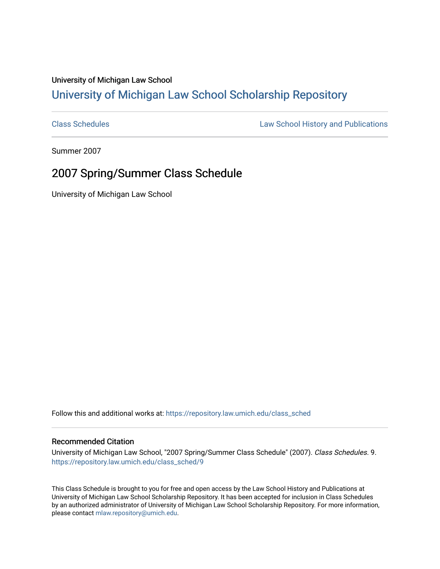## University of Michigan Law School [University of Michigan Law School Scholarship Repository](https://repository.law.umich.edu/)

[Class Schedules](https://repository.law.umich.edu/class_sched) **Law School History and Publications** 

Summer 2007

## 2007 Spring/Summer Class Schedule

University of Michigan Law School

Follow this and additional works at: [https://repository.law.umich.edu/class\\_sched](https://repository.law.umich.edu/class_sched?utm_source=repository.law.umich.edu%2Fclass_sched%2F9&utm_medium=PDF&utm_campaign=PDFCoverPages) 

## Recommended Citation

University of Michigan Law School, "2007 Spring/Summer Class Schedule" (2007). Class Schedules. 9. [https://repository.law.umich.edu/class\\_sched/9](https://repository.law.umich.edu/class_sched/9?utm_source=repository.law.umich.edu%2Fclass_sched%2F9&utm_medium=PDF&utm_campaign=PDFCoverPages) 

This Class Schedule is brought to you for free and open access by the Law School History and Publications at University of Michigan Law School Scholarship Repository. It has been accepted for inclusion in Class Schedules by an authorized administrator of University of Michigan Law School Scholarship Repository. For more information, please contact [mlaw.repository@umich.edu.](mailto:mlaw.repository@umich.edu)